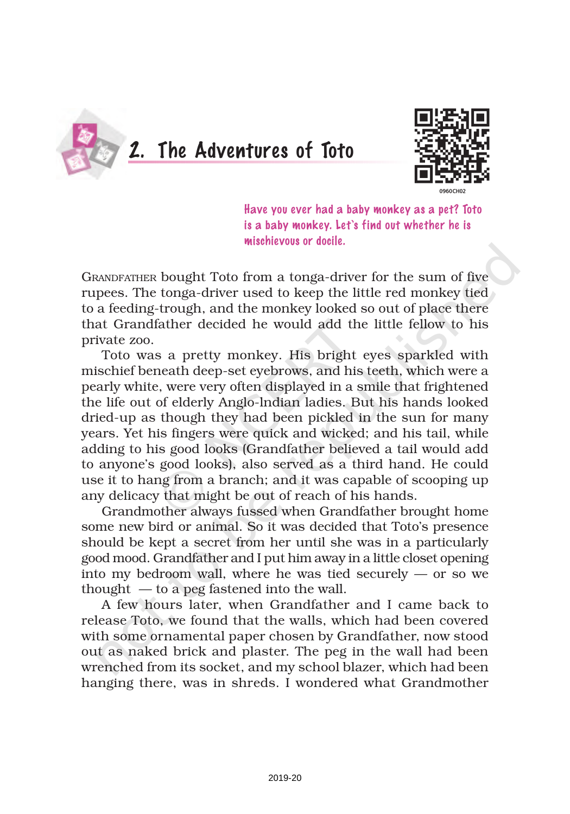

2. The Adventures of Toto



Have you ever had a baby monkey as a pet? Toto is a baby monkey. Let's find out whether he is mischievous or docile.

GRANDFATHER bought Toto from a tonga-driver for the sum of five rupees. The tonga-driver used to keep the little red monkey tied to a feeding-trough, and the monkey looked so out of place there that Grandfather decided he would add the little fellow to his private zoo.

Toto was a pretty monkey. His bright eyes sparkled with mischief beneath deep-set eyebrows, and his teeth, which were a pearly white, were very often displayed in a smile that frightened the life out of elderly Anglo-lndian ladies. But his hands looked dried-up as though they had been pickled in the sun for many years. Yet his fingers were quick and wicked; and his tail, while adding to his good looks (Grandfather believed a tail would add to anyone's good looks), also served as a third hand. He could use it to hang from a branch; and it was capable of scooping up any delicacy that might be out of reach of his hands.

Grandmother always fussed when Grandfather brought home some new bird or animal. So it was decided that Toto's presence should be kept a secret from her until she was in a particularly good mood. Grandfather and I put him away in a little closet opening into my bedroom wall, where he was tied securely  $-$  or so we thought  $-$  to a peg fastened into the wall.

A few hours later, when Grandfather and I came back to release Toto, we found that the walls, which had been covered with some ornamental paper chosen by Grandfather, now stood out as naked brick and plaster. The peg in the wall had been wrenched from its socket, and my school blazer, which had been hanging there, was in shreds. I wondered what Grandmother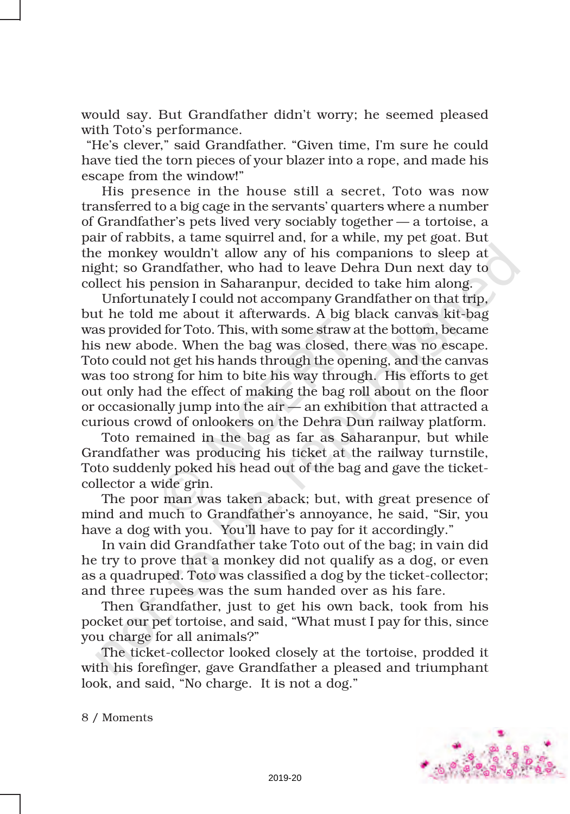would say. But Grandfather didn't worry; he seemed pleased with Toto's performance.

 "He's clever," said Grandfather. "Given time, I'm sure he could have tied the torn pieces of your blazer into a rope, and made his escape from the window!"

His presence in the house still a secret, Toto was now transferred to a big cage in the servants' quarters where a number of Grandfather's pets lived very sociably together — a tortoise, a pair of rabbits, a tame squirrel and, for a while, my pet goat. But the monkey wouldn't allow any of his companions to sleep at night; so Grandfather, who had to leave Dehra Dun next day to collect his pension in Saharanpur, decided to take him along.

Unfortunately I could not accompany Grandfather on that trip, but he told me about it afterwards. A big black canvas kit-bag was provided for Toto. This, with some straw at the bottom, became his new abode. When the bag was closed, there was no escape. Toto could not get his hands through the opening, and the canvas was too strong for him to bite his way through. His efforts to get out only had the effect of making the bag roll about on the floor or occasionally jump into the air — an exhibition that attracted a curious crowd of onlookers on the Dehra Dun railway platform.

Toto remained in the bag as far as Saharanpur, but while Grandfather was producing his ticket at the railway turnstile, Toto suddenly poked his head out of the bag and gave the ticketcollector a wide grin.

The poor man was taken aback; but, with great presence of mind and much to Grandfather's annoyance, he said, "Sir, you have a dog with you. You'll have to pay for it accordingly."

In vain did Grandfather take Toto out of the bag; in vain did he try to prove that a monkey did not qualify as a dog, or even as a quadruped. Toto was classified a dog by the ticket-collector; and three rupees was the sum handed over as his fare.

Then Grandfather, just to get his own back, took from his pocket our pet tortoise, and said, "What must I pay for this, since you charge for all animals?"

The ticket-collector looked closely at the tortoise, prodded it with his forefinger, gave Grandfather a pleased and triumphant look, and said, "No charge. It is not a dog."



8 / Moments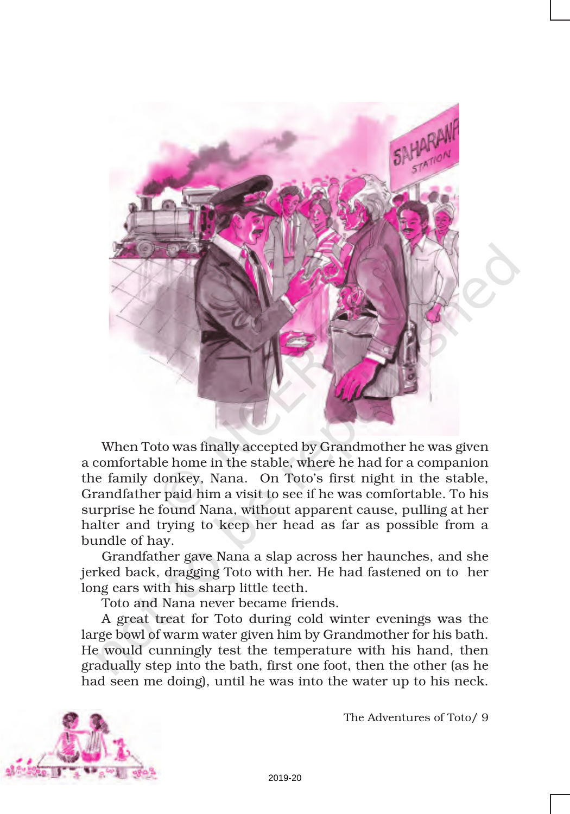

When Toto was finally accepted by Grandmother he was given a comfortable home in the stable, where he had for a companion the family donkey, Nana. On Toto's first night in the stable, Grandfather paid him a visit to see if he was comfortable. To his surprise he found Nana, without apparent cause, pulling at her halter and trying to keep her head as far as possible from a bundle of hay.

Grandfather gave Nana a slap across her haunches, and she jerked back, dragging Toto with her. He had fastened on to her long ears with his sharp little teeth.

Toto and Nana never became friends.

A great treat for Toto during cold winter evenings was the large bowl of warm water given him by Grandmother for his bath. He would cunningly test the temperature with his hand, then gradually step into the bath, first one foot, then the other (as he had seen me doing), until he was into the water up to his neck.



The Adventures of Toto/ 9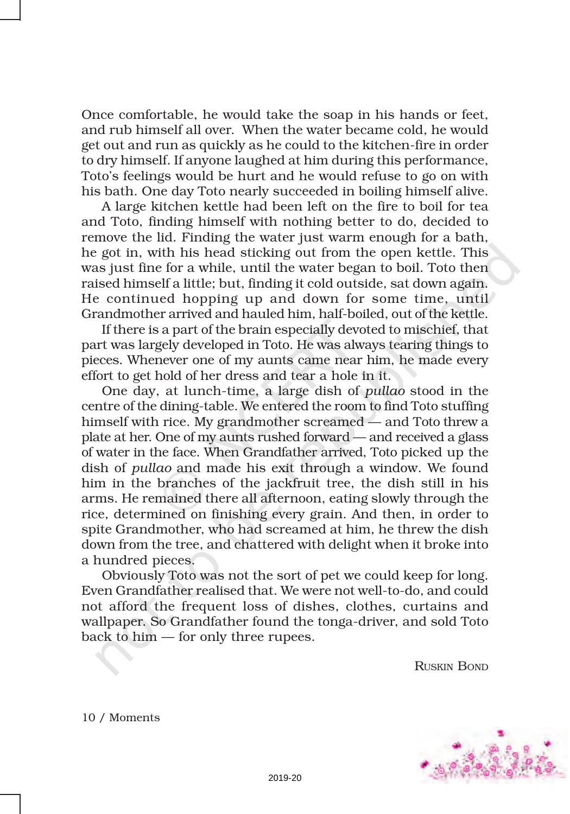Once comfortable, he would take the soap in his hands or feet, and rub himself all over. When the water became cold, he would get out and run as quickly as he could to the kitchen-fire in order to dry himself. If anyone laughed at him during this performance, Toto's feelings would be hurt and he would refuse to go on with his bath. One day Toto nearly succeeded in boiling himself alive.

A large kitchen kettle had been left on the fire to boil for tea and Toto, finding himself with nothing better to do, decided to remove the lid. Finding the water just warm enough for a bath, he got in, with his head sticking out from the open kettle. This was just fine for a while, until the water began to boil. Toto then raised himself a little; but, finding it cold outside, sat down again. He continued hopping up and down for some time, until Grandmother arrived and hauled him, half-boiled, out of the kettle.

If there is a part of the brain especially devoted to mischief, that part was largely developed in Toto. He was always tearing things to pieces. Whenever one of my aunts came near him, he made every effort to get hold of her dress and tear a hole in it.

One day, at lunch-time, a large dish of *pullao* stood in the centre of the dining-table. We entered the room to find Toto stuffing himself with rice. My grandmother screamed — and Toto threw a plate at her. One of my aunts rushed forward — and received a glass of water in the face. When Grandfather arrived, Toto picked up the dish of *pullao* and made his exit through a window. We found him in the branches of the jackfruit tree, the dish still in his arms. He remained there all afternoon, eating slowly through the rice, determined on finishing every grain. And then, in order to spite Grandmother, who had screamed at him, he threw the dish down from the tree, and chattered with delight when it broke into a hundred pieces.

Obviously Toto was not the sort of pet we could keep for long. Even Grandfather realised that. We were not well-to-do, and could not afford the frequent loss of dishes, clothes, curtains and wallpaper. So Grandfather found the tonga-driver, and sold Toto back to  $him - for only three rupees.$ 

RUSKIN BOND



10 / Moments